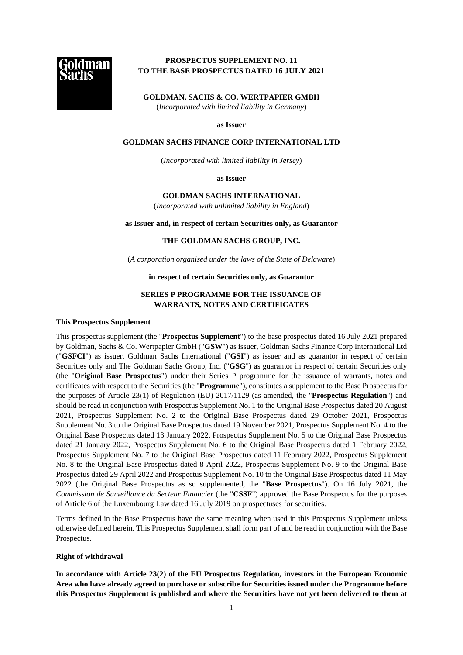

# **PROSPECTUS SUPPLEMENT NO. 11 TO THE BASE PROSPECTUS DATED 16 JULY 2021**

**GOLDMAN, SACHS & CO. WERTPAPIER GMBH**  (*Incorporated with limited liability in Germany*)

**as Issuer** 

#### **GOLDMAN SACHS FINANCE CORP INTERNATIONAL LTD**

(*Incorporated with limited liability in Jersey*)

**as Issuer** 

## **GOLDMAN SACHS INTERNATIONAL**

(*Incorporated with unlimited liability in England*)

#### **as Issuer and, in respect of certain Securities only, as Guarantor**

#### **THE GOLDMAN SACHS GROUP, INC.**

(*A corporation organised under the laws of the State of Delaware*)

#### **in respect of certain Securities only, as Guarantor**

## **SERIES P PROGRAMME FOR THE ISSUANCE OF WARRANTS, NOTES AND CERTIFICATES**

#### **This Prospectus Supplement**

This prospectus supplement (the "**Prospectus Supplement**") to the base prospectus dated 16 July 2021 prepared by Goldman, Sachs & Co. Wertpapier GmbH ("**GSW**") as issuer, Goldman Sachs Finance Corp International Ltd ("**GSFCI**") as issuer, Goldman Sachs International ("**GSI**") as issuer and as guarantor in respect of certain Securities only and The Goldman Sachs Group, Inc. ("**GSG**") as guarantor in respect of certain Securities only (the "**Original Base Prospectus**") under their Series P programme for the issuance of warrants, notes and certificates with respect to the Securities (the "**Programme**"), constitutes a supplement to the Base Prospectus for the purposes of Article 23(1) of Regulation (EU) 2017/1129 (as amended, the "**Prospectus Regulation**") and should be read in conjunction with Prospectus Supplement No. 1 to the Original Base Prospectus dated 20 August 2021, Prospectus Supplement No. 2 to the Original Base Prospectus dated 29 October 2021, Prospectus Supplement No. 3 to the Original Base Prospectus dated 19 November 2021, Prospectus Supplement No. 4 to the Original Base Prospectus dated 13 January 2022, Prospectus Supplement No. 5 to the Original Base Prospectus dated 21 January 2022, Prospectus Supplement No. 6 to the Original Base Prospectus dated 1 February 2022, Prospectus Supplement No. 7 to the Original Base Prospectus dated 11 February 2022, Prospectus Supplement No. 8 to the Original Base Prospectus dated 8 April 2022, Prospectus Supplement No. 9 to the Original Base Prospectus dated 29 April 2022 and Prospectus Supplement No. 10 to the Original Base Prospectus dated 11 May 2022 (the Original Base Prospectus as so supplemented, the "**Base Prospectus**"). On 16 July 2021, the *Commission de Surveillance du Secteur Financier* (the "**CSSF**") approved the Base Prospectus for the purposes of Article 6 of the Luxembourg Law dated 16 July 2019 on prospectuses for securities.

Terms defined in the Base Prospectus have the same meaning when used in this Prospectus Supplement unless otherwise defined herein. This Prospectus Supplement shall form part of and be read in conjunction with the Base Prospectus.

## **Right of withdrawal**

**In accordance with Article 23(2) of the EU Prospectus Regulation, investors in the European Economic Area who have already agreed to purchase or subscribe for Securities issued under the Programme before this Prospectus Supplement is published and where the Securities have not yet been delivered to them at**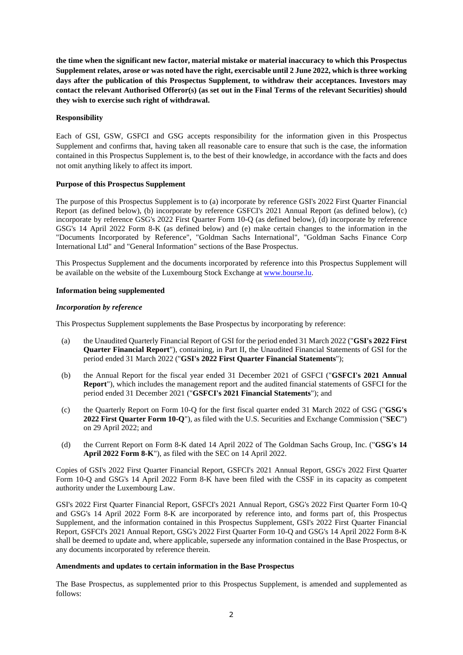**the time when the significant new factor, material mistake or material inaccuracy to which this Prospectus Supplement relates, arose or was noted have the right, exercisable until 2 June 2022, which is three working days after the publication of this Prospectus Supplement, to withdraw their acceptances. Investors may contact the relevant Authorised Offeror(s) (as set out in the Final Terms of the relevant Securities) should they wish to exercise such right of withdrawal.** 

## **Responsibility**

Each of GSI, GSW, GSFCI and GSG accepts responsibility for the information given in this Prospectus Supplement and confirms that, having taken all reasonable care to ensure that such is the case, the information contained in this Prospectus Supplement is, to the best of their knowledge, in accordance with the facts and does not omit anything likely to affect its import.

## **Purpose of this Prospectus Supplement**

The purpose of this Prospectus Supplement is to (a) incorporate by reference GSI's 2022 First Quarter Financial Report (as defined below), (b) incorporate by reference GSFCI's 2021 Annual Report (as defined below), (c) incorporate by reference GSG's 2022 First Quarter Form 10-Q (as defined below), (d) incorporate by reference GSG's 14 April 2022 Form 8-K (as defined below) and (e) make certain changes to the information in the "Documents Incorporated by Reference", "Goldman Sachs International", "Goldman Sachs Finance Corp International Ltd" and "General Information" sections of the Base Prospectus.

This Prospectus Supplement and the documents incorporated by reference into this Prospectus Supplement will be available on the website of the Luxembourg Stock Exchange a[t www.bourse.lu.](http://www.bourse.lu/)

#### **Information being supplemented**

#### *Incorporation by reference*

This Prospectus Supplement supplements the Base Prospectus by incorporating by reference:

- (a) the Unaudited Quarterly Financial Report of GSI for the period ended 31 March 2022 ("**GSI's 2022 First Quarter Financial Report**"), containing, in Part II, the Unaudited Financial Statements of GSI for the period ended 31 March 2022 ("**GSI's 2022 First Quarter Financial Statements**");
- (b) the Annual Report for the fiscal year ended 31 December 2021 of GSFCI ("**GSFCI's 2021 Annual Report**"), which includes the management report and the audited financial statements of GSFCI for the period ended 31 December 2021 ("**GSFCI's 2021 Financial Statements**"); and
- (c) the Quarterly Report on Form 10-Q for the first fiscal quarter ended 31 March 2022 of GSG ("**GSG's 2022 First Quarter Form 10-Q**"), as filed with the U.S. Securities and Exchange Commission ("**SEC**") on 29 April 2022; and
- (d) the Current Report on Form 8-K dated 14 April 2022 of The Goldman Sachs Group, Inc. ("**GSG's 14 April 2022 Form 8-K**"), as filed with the SEC on 14 April 2022.

Copies of GSI's 2022 First Quarter Financial Report, GSFCI's 2021 Annual Report, GSG's 2022 First Quarter Form 10-Q and GSG's 14 April 2022 Form 8-K have been filed with the CSSF in its capacity as competent authority under the Luxembourg Law.

GSI's 2022 First Quarter Financial Report, GSFCI's 2021 Annual Report, GSG's 2022 First Quarter Form 10-Q and GSG's 14 April 2022 Form 8-K are incorporated by reference into, and forms part of, this Prospectus Supplement, and the information contained in this Prospectus Supplement, GSI's 2022 First Quarter Financial Report, GSFCI's 2021 Annual Report, GSG's 2022 First Quarter Form 10-Q and GSG's 14 April 2022 Form 8-K shall be deemed to update and, where applicable, supersede any information contained in the Base Prospectus, or any documents incorporated by reference therein.

## **Amendments and updates to certain information in the Base Prospectus**

The Base Prospectus, as supplemented prior to this Prospectus Supplement, is amended and supplemented as follows: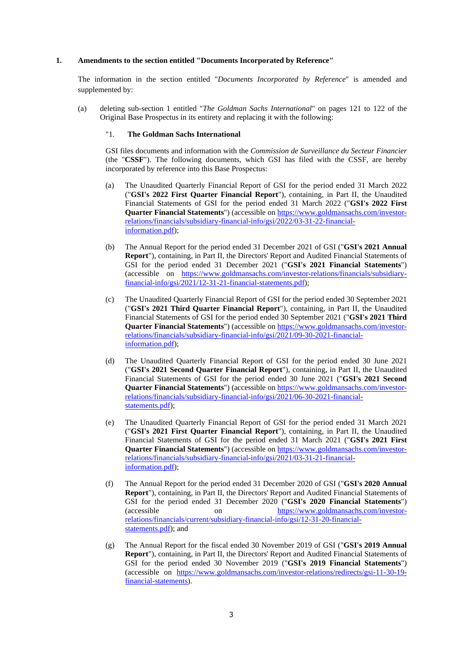## **1. Amendments to the section entitled "Documents Incorporated by Reference"**

The information in the section entitled "*Documents Incorporated by Reference*" is amended and supplemented by:

(a) deleting sub-section 1 entitled "*The Goldman Sachs International*" on pages 121 to 122 of the Original Base Prospectus in its entirety and replacing it with the following:

#### "1. **The Goldman Sachs International**

GSI files documents and information with the *Commission de Surveillance du Secteur Financier* (the "**CSSF**"). The following documents, which GSI has filed with the CSSF, are hereby incorporated by reference into this Base Prospectus:

- (a) The Unaudited Quarterly Financial Report of GSI for the period ended 31 March 2022 ("**GSI's 2022 First Quarter Financial Report**"), containing, in Part II, the Unaudited Financial Statements of GSI for the period ended 31 March 2022 ("**GSI's 2022 First Quarter Financial Statements**") (accessible o[n https://www.goldmansachs.com/investor](https://www.goldmansachs.com/investor-relations/financials/subsidiary-financial-info/gsi/2022/03-31-22-financial-information.pdf)[relations/financials/subsidiary-financial-info/gsi/2022/03-31-22-financial](https://www.goldmansachs.com/investor-relations/financials/subsidiary-financial-info/gsi/2022/03-31-22-financial-information.pdf)[information.pdf\)](https://www.goldmansachs.com/investor-relations/financials/subsidiary-financial-info/gsi/2022/03-31-22-financial-information.pdf);
- (b) The Annual Report for the period ended 31 December 2021 of GSI ("**GSI's 2021 Annual Report**"), containing, in Part II, the Directors' Report and Audited Financial Statements of GSI for the period ended 31 December 2021 ("**GSI's 2021 Financial Statements**") (accessible on [https://www.goldmansachs.com/investor-relations/financials/subsidiary](https://www.goldmansachs.com/investor-relations/financials/subsidiary-financial-info/gsi/2021/12-31-21-financial-statements.pdf)[financial-info/gsi/2021/12-31-21-financial-statements.pdf\)](https://www.goldmansachs.com/investor-relations/financials/subsidiary-financial-info/gsi/2021/12-31-21-financial-statements.pdf);
- (c) The Unaudited Quarterly Financial Report of GSI for the period ended 30 September 2021 ("**GSI's 2021 Third Quarter Financial Report**"), containing, in Part II, the Unaudited Financial Statements of GSI for the period ended 30 September 2021 ("**GSI's 2021 Third Quarter Financial Statements**") (accessible o[n https://www.goldmansachs.com/investor](https://www.goldmansachs.com/investor-relations/financials/subsidiary-financial-info/gsi/2021/09-30-2021-financial-information.pdf)[relations/financials/subsidiary-financial-info/gsi/2021/09-30-2021-financial](https://www.goldmansachs.com/investor-relations/financials/subsidiary-financial-info/gsi/2021/09-30-2021-financial-information.pdf)[information.pdf\)](https://www.goldmansachs.com/investor-relations/financials/subsidiary-financial-info/gsi/2021/09-30-2021-financial-information.pdf);
- (d) The Unaudited Quarterly Financial Report of GSI for the period ended 30 June 2021 ("**GSI's 2021 Second Quarter Financial Report**"), containing, in Part II, the Unaudited Financial Statements of GSI for the period ended 30 June 2021 ("**GSI's 2021 Second Quarter Financial Statements**") (accessible o[n https://www.goldmansachs.com/investor](https://www.goldmansachs.com/investor-relations/financials/subsidiary-financial-info/gsi/2021/06-30-2021-financial-statements.pdf)[relations/financials/subsidiary-financial-info/gsi/2021/06-30-2021-financial](https://www.goldmansachs.com/investor-relations/financials/subsidiary-financial-info/gsi/2021/06-30-2021-financial-statements.pdf)[statements.pdf\)](https://www.goldmansachs.com/investor-relations/financials/subsidiary-financial-info/gsi/2021/06-30-2021-financial-statements.pdf):
- (e) The Unaudited Quarterly Financial Report of GSI for the period ended 31 March 2021 ("**GSI's 2021 First Quarter Financial Report**"), containing, in Part II, the Unaudited Financial Statements of GSI for the period ended 31 March 2021 ("**GSI's 2021 First Quarter Financial Statements**") (accessible o[n https://www.goldmansachs.com/investor](https://www.goldmansachs.com/investor-relations/financials/subsidiary-financial-info/gsi/2021/03-31-21-financial-information.pdf)[relations/financials/subsidiary-financial-info/gsi/2021/03-31-21-financial](https://www.goldmansachs.com/investor-relations/financials/subsidiary-financial-info/gsi/2021/03-31-21-financial-information.pdf)[information.pdf\)](https://www.goldmansachs.com/investor-relations/financials/subsidiary-financial-info/gsi/2021/03-31-21-financial-information.pdf);
- (f) The Annual Report for the period ended 31 December 2020 of GSI ("**GSI's 2020 Annual Report**"), containing, in Part II, the Directors' Report and Audited Financial Statements of GSI for the period ended 31 December 2020 ("**GSI's 2020 Financial Statements**") (accessible on [https://www.goldmansachs.com/investor](https://www.goldmansachs.com/investor-relations/financials/current/subsidiary-financial-info/gsi/12-31-20-financial-statements.pdf)[relations/financials/current/subsidiary-financial-info/gsi/12-31-20-financial](https://www.goldmansachs.com/investor-relations/financials/current/subsidiary-financial-info/gsi/12-31-20-financial-statements.pdf)[statements.pdf\)](https://www.goldmansachs.com/investor-relations/financials/current/subsidiary-financial-info/gsi/12-31-20-financial-statements.pdf); and
- (g) The Annual Report for the fiscal ended 30 November 2019 of GSI ("**GSI's 2019 Annual Report**"), containing, in Part II, the Directors' Report and Audited Financial Statements of GSI for the period ended 30 November 2019 ("**GSI's 2019 Financial Statements**") (accessible on [https://www.goldmansachs.com/investor-relations/redirects/gsi-11-30-19](https://www.goldmansachs.com/investor-relations/redirects/gsi-11-30-19-financial-statements) [financial-statements\)](https://www.goldmansachs.com/investor-relations/redirects/gsi-11-30-19-financial-statements).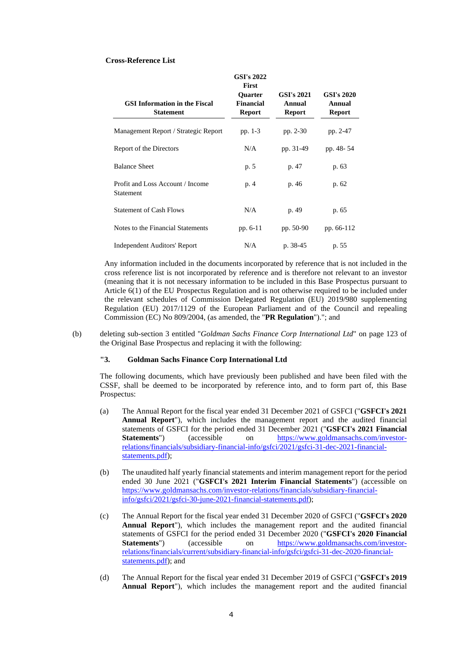#### **Cross-Reference List**

| <b>GSI's 2022</b><br><b>First</b>                        |                                                     |                                              |                                              |
|----------------------------------------------------------|-----------------------------------------------------|----------------------------------------------|----------------------------------------------|
| <b>GSI Information in the Fiscal</b><br><b>Statement</b> | <b>Ouarter</b><br><b>Financial</b><br><b>Report</b> | <b>GSI's 2021</b><br>Annual<br><b>Report</b> | <b>GSI's 2020</b><br>Annual<br><b>Report</b> |
| Management Report / Strategic Report                     | pp. 1-3                                             | pp. 2-30                                     | pp. 2-47                                     |
| Report of the Directors                                  | N/A                                                 | pp. 31-49                                    | pp. 48-54                                    |
| <b>Balance Sheet</b>                                     | p. 5                                                | p. 47                                        | p. 63                                        |
| Profit and Loss Account / Income<br>Statement            | p. 4                                                | p. 46                                        | p. 62                                        |
| <b>Statement of Cash Flows</b>                           | N/A                                                 | p. 49                                        | p. 65                                        |
| Notes to the Financial Statements                        | pp. 6-11                                            | pp. 50-90                                    | pp. 66-112                                   |
| <b>Independent Auditors' Report</b>                      | N/A                                                 | p. 38-45                                     | p. 55                                        |

Any information included in the documents incorporated by reference that is not included in the cross reference list is not incorporated by reference and is therefore not relevant to an investor (meaning that it is not necessary information to be included in this Base Prospectus pursuant to Article 6(1) of the EU Prospectus Regulation and is not otherwise required to be included under the relevant schedules of Commission Delegated Regulation (EU) 2019/980 supplementing Regulation (EU) 2017/1129 of the European Parliament and of the Council and repealing Commission (EC) No 809/2004, (as amended, the "**PR Regulation**")."; and

(b) deleting sub-section 3 entitled "*Goldman Sachs Finance Corp International Ltd*" on page 123 of the Original Base Prospectus and replacing it with the following:

## **"3. Goldman Sachs Finance Corp International Ltd**

The following documents, which have previously been published and have been filed with the CSSF, shall be deemed to be incorporated by reference into, and to form part of, this Base Prospectus:

- (a) The Annual Report for the fiscal year ended 31 December 2021 of GSFCI ("**GSFCI's 2021 Annual Report**"), which includes the management report and the audited financial statements of GSFCI for the period ended 31 December 2021 ("**GSFCI's 2021 Financial Statements**") (accessible on [https://www.goldmansachs.com/investor](https://www.goldmansachs.com/investor-relations/financials/subsidiary-financial-info/gsfci/2021/gsfci-31-dec-2021-financial-statements.pdf)[relations/financials/subsidiary-financial-info/gsfci/2021/gsfci-31-dec-2021-financial](https://www.goldmansachs.com/investor-relations/financials/subsidiary-financial-info/gsfci/2021/gsfci-31-dec-2021-financial-statements.pdf)[statements.pdf\)](https://www.goldmansachs.com/investor-relations/financials/subsidiary-financial-info/gsfci/2021/gsfci-31-dec-2021-financial-statements.pdf);
- (b) The unaudited half yearly financial statements and interim management report for the period ended 30 June 2021 ("**GSFCI's 2021 Interim Financial Statements**") (accessible on [https://www.goldmansachs.com/investor-relations/financials/subsidiary-financial](https://www.goldmansachs.com/investor-relations/financials/subsidiary-financial-info/gsfci/2021/gsfci-30-june-2021-financial-statements.pdf)[info/gsfci/2021/gsfci-30-june-2021-financial-statements.pdf\)](https://www.goldmansachs.com/investor-relations/financials/subsidiary-financial-info/gsfci/2021/gsfci-30-june-2021-financial-statements.pdf);
- (c) The Annual Report for the fiscal year ended 31 December 2020 of GSFCI ("**GSFCI's 2020 Annual Report**"), which includes the management report and the audited financial statements of GSFCI for the period ended 31 December 2020 ("**GSFCI's 2020 Financial Statements**") (accessible on [https://www.goldmansachs.com/investor](https://www.goldmansachs.com/investor-relations/financials/current/subsidiary-financial-info/gsfci/gsfci-31-dec-2020-financial-statements.pdf)[relations/financials/current/subsidiary-financial-info/gsfci/gsfci-31-dec-2020-financial](https://www.goldmansachs.com/investor-relations/financials/current/subsidiary-financial-info/gsfci/gsfci-31-dec-2020-financial-statements.pdf)[statements.pdf\)](https://www.goldmansachs.com/investor-relations/financials/current/subsidiary-financial-info/gsfci/gsfci-31-dec-2020-financial-statements.pdf); and
- (d) The Annual Report for the fiscal year ended 31 December 2019 of GSFCI ("**GSFCI's 2019 Annual Report**"), which includes the management report and the audited financial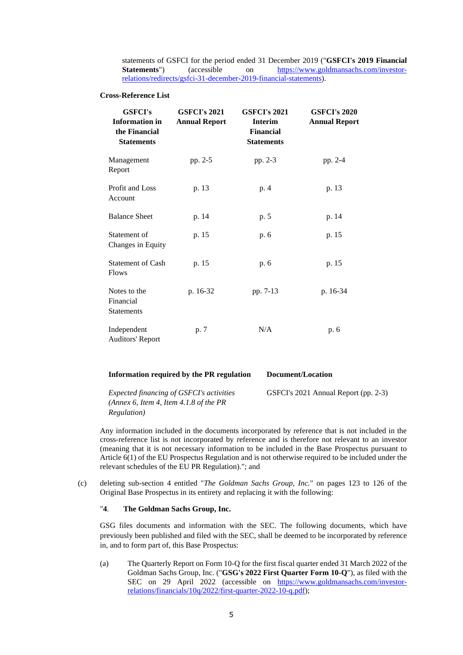statements of GSFCI for the period ended 31 December 2019 ("**GSFCI's 2019 Financial Statements**") (accessible on [https://www.goldmansachs.com/investor](https://www.goldmansachs.com/investor-relations/redirects/gsfci-31-december-2019-financial-statements)[relations/redirects/gsfci-31-december-2019-financial-statements\)](https://www.goldmansachs.com/investor-relations/redirects/gsfci-31-december-2019-financial-statements).

#### **Cross-Reference List**

| <b>GSFCI's</b><br><b>Information</b> in<br>the Financial<br><b>Statements</b> | <b>GSFCI's 2021</b><br><b>Annual Report</b> | <b>GSFCI's 2021</b><br><b>Interim</b><br><b>Financial</b><br><b>Statements</b> | <b>GSFCI's 2020</b><br><b>Annual Report</b> |
|-------------------------------------------------------------------------------|---------------------------------------------|--------------------------------------------------------------------------------|---------------------------------------------|
| Management<br>Report                                                          | pp. 2-5                                     | pp. 2-3                                                                        | pp. 2-4                                     |
| Profit and Loss<br>Account                                                    | p. 13                                       | p. 4                                                                           | p. 13                                       |
| <b>Balance Sheet</b>                                                          | p. 14                                       | p. 5                                                                           | p. 14                                       |
| Statement of<br>Changes in Equity                                             | p. 15                                       | p. 6                                                                           | p. 15                                       |
| <b>Statement of Cash</b><br>p. 15<br>Flows                                    |                                             | p. 6                                                                           | p. 15                                       |
| Notes to the<br>Financial<br>Statements                                       | p. 16-32                                    | pp. 7-13                                                                       | p. 16-34                                    |
| Independent<br><b>Auditors' Report</b>                                        | p. 7                                        | N/A                                                                            | p. 6                                        |

| Information required by the PR regulation                                                 | Document/Location                    |
|-------------------------------------------------------------------------------------------|--------------------------------------|
| <i>Expected financing of GSFCI's activities</i><br>(Annex 6, Item 4, Item 4.1.8 of the PR | GSFCI's 2021 Annual Report (pp. 2-3) |
| <i>Regulation</i> )                                                                       |                                      |

Any information included in the documents incorporated by reference that is not included in the cross-reference list is not incorporated by reference and is therefore not relevant to an investor (meaning that it is not necessary information to be included in the Base Prospectus pursuant to Article 6(1) of the EU Prospectus Regulation and is not otherwise required to be included under the relevant schedules of the EU PR Regulation)."; and

(c) deleting sub-section 4 entitled "*The Goldman Sachs Group, Inc.*" on pages 123 to 126 of the Original Base Prospectus in its entirety and replacing it with the following:

# "**4**. **The Goldman Sachs Group, Inc.**

GSG files documents and information with the SEC. The following documents, which have previously been published and filed with the SEC, shall be deemed to be incorporated by reference in, and to form part of, this Base Prospectus:

(a) The Quarterly Report on Form 10-Q for the first fiscal quarter ended 31 March 2022 of the Goldman Sachs Group, Inc. ("**GSG's 2022 First Quarter Form 10-Q**"), as filed with the SEC on 29 April 2022 (accessible on [https://www.goldmansachs.com/investor](https://www.goldmansachs.com/investor-relations/financials/10q/2022/first-quarter-2022-10-q.pdf)[relations/financials/10q/2022/first-quarter-2022-10-q.pdf\)](https://www.goldmansachs.com/investor-relations/financials/10q/2022/first-quarter-2022-10-q.pdf);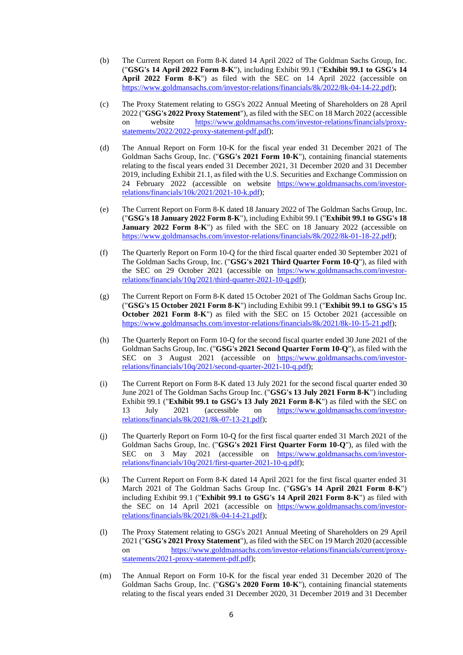- (b) The Current Report on Form 8-K dated 14 April 2022 of The Goldman Sachs Group, Inc. ("**GSG's 14 April 2022 Form 8-K**"), including Exhibit 99.1 ("**Exhibit 99.1 to GSG's 14 April 2022 Form 8-K**") as filed with the SEC on 14 April 2022 (accessible on [https://www.goldmansachs.com/investor-relations/financials/8k/2022/8k-04-14-22.pdf\)](https://www.goldmansachs.com/investor-relations/financials/8k/2022/8k-04-14-22.pdf);
- (c) The Proxy Statement relating to GSG's 2022 Annual Meeting of Shareholders on 28 April 2022 ("**GSG's 2022 Proxy Statement**"), as filed with the SEC on 18 March 2022 (accessible on website [https://www.goldmansachs.com/investor-relations/financials/proxy](https://www.goldmansachs.com/investor-relations/financials/proxy-statements/2022/2022-proxy-statement-pdf.pdf)[statements/2022/2022-proxy-statement-pdf.pdf\)](https://www.goldmansachs.com/investor-relations/financials/proxy-statements/2022/2022-proxy-statement-pdf.pdf);
- (d) The Annual Report on Form 10-K for the fiscal year ended 31 December 2021 of The Goldman Sachs Group, Inc. ("**GSG's 2021 Form 10-K**"), containing financial statements relating to the fiscal years ended 31 December 2021, 31 December 2020 and 31 December 2019, including Exhibit 21.1, as filed with the U.S. Securities and Exchange Commission on 24 February 2022 (accessible on website [https://www.goldmansachs.com/investor](https://www.goldmansachs.com/investor-relations/financials/10k/2021/2021-10-k.pdf)[relations/financials/10k/2021/2021-10-k.pdf\)](https://www.goldmansachs.com/investor-relations/financials/10k/2021/2021-10-k.pdf);
- (e) The Current Report on Form 8-K dated 18 January 2022 of The Goldman Sachs Group, Inc. ("**GSG's 18 January 2022 Form 8-K**"), including Exhibit 99.1 ("**Exhibit 99.1 to GSG's 18 January 2022 Form 8-K**") as filed with the SEC on 18 January 2022 (accessible on [https://www.goldmansachs.com/investor-relations/financials/8k/2022/8k-01-18-22.pdf\)](https://www.goldmansachs.com/investor-relations/financials/8k/2022/8k-01-18-22.pdf);
- (f) The Quarterly Report on Form 10-Q for the third fiscal quarter ended 30 September 2021 of The Goldman Sachs Group, Inc. ("**GSG's 2021 Third Quarter Form 10-Q**"), as filed with the SEC on 29 October 2021 (accessible on [https://www.goldmansachs.com/investor](https://www.goldmansachs.com/investor-relations/financials/10q/2021/third-quarter-2021-10-q.pdf)[relations/financials/10q/2021/third-quarter-2021-10-q.pdf\)](https://www.goldmansachs.com/investor-relations/financials/10q/2021/third-quarter-2021-10-q.pdf);
- (g) The Current Report on Form 8-K dated 15 October 2021 of The Goldman Sachs Group Inc. ("**GSG's 15 October 2021 Form 8-K**") including Exhibit 99.1 ("**Exhibit 99.1 to GSG's 15 October 2021 Form 8-K**") as filed with the SEC on 15 October 2021 (accessible on [https://www.goldmansachs.com/investor-relations/financials/8k/2021/8k-10-15-21.pdf\)](https://www.goldmansachs.com/investor-relations/financials/8k/2021/8k-10-15-21.pdf);
- (h) The Quarterly Report on Form 10-Q for the second fiscal quarter ended 30 June 2021 of the Goldman Sachs Group, Inc. ("**GSG's 2021 Second Quarter Form 10-Q**"), as filed with the SEC on 3 August 2021 (accessible on [https://www.goldmansachs.com/investor](https://www.goldmansachs.com/investor-relations/financials/10q/2021/second-quarter-2021-10-q.pdf)[relations/financials/10q/2021/second-quarter-2021-10-q.pdf\)](https://www.goldmansachs.com/investor-relations/financials/10q/2021/second-quarter-2021-10-q.pdf);
- (i) The Current Report on Form 8-K dated 13 July 2021 for the second fiscal quarter ended 30 June 2021 of The Goldman Sachs Group Inc. ("**GSG's 13 July 2021 Form 8-K**") including Exhibit 99.1 ("**Exhibit 99.1 to GSG's 13 July 2021 Form 8-K**") as filed with the SEC on 13 July 2021 (accessible on [https://www.goldmansachs.com/investor](https://www.goldmansachs.com/investor-relations/financials/8k/2021/8k-07-13-21.pdf)[relations/financials/8k/2021/8k-07-13-21.pdf\)](https://www.goldmansachs.com/investor-relations/financials/8k/2021/8k-07-13-21.pdf);
- (j) The Quarterly Report on Form 10-Q for the first fiscal quarter ended 31 March 2021 of the Goldman Sachs Group, Inc. ("**GSG's 2021 First Quarter Form 10-Q**"), as filed with the SEC on 3 May 2021 (accessible on [https://www.goldmansachs.com/investor](https://www.goldmansachs.com/investor-relations/financials/10q/2021/first-quarter-2021-10-q.pdf)[relations/financials/10q/2021/first-quarter-2021-10-q.pdf\)](https://www.goldmansachs.com/investor-relations/financials/10q/2021/first-quarter-2021-10-q.pdf);
- (k) The Current Report on Form 8-K dated 14 April 2021 for the first fiscal quarter ended 31 March 2021 of The Goldman Sachs Group Inc. ("**GSG's 14 April 2021 Form 8-K**") including Exhibit 99.1 ("**Exhibit 99.1 to GSG's 14 April 2021 Form 8-K**") as filed with the SEC on 14 April 2021 (accessible on [https://www.goldmansachs.com/investor](https://www.goldmansachs.com/investor-relations/financials/8k/2021/8k-04-14-21.pdf)[relations/financials/8k/2021/8k-04-14-21.pdf\)](https://www.goldmansachs.com/investor-relations/financials/8k/2021/8k-04-14-21.pdf);
- (l) The Proxy Statement relating to GSG's 2021 Annual Meeting of Shareholders on 29 April 2021 ("**GSG's 2021 Proxy Statement**"), as filed with the SEC on 19 March 2020 (accessible on [https://www.goldmansachs.com/investor-relations/financials/current/proxy](https://www.goldmansachs.com/investor-relations/financials/current/proxy-statements/2021-proxy-statement-pdf.pdf)[statements/2021-proxy-statement-pdf.pdf\)](https://www.goldmansachs.com/investor-relations/financials/current/proxy-statements/2021-proxy-statement-pdf.pdf);
- (m) The Annual Report on Form 10-K for the fiscal year ended 31 December 2020 of The Goldman Sachs Group, Inc. ("**GSG's 2020 Form 10-K**"), containing financial statements relating to the fiscal years ended 31 December 2020, 31 December 2019 and 31 December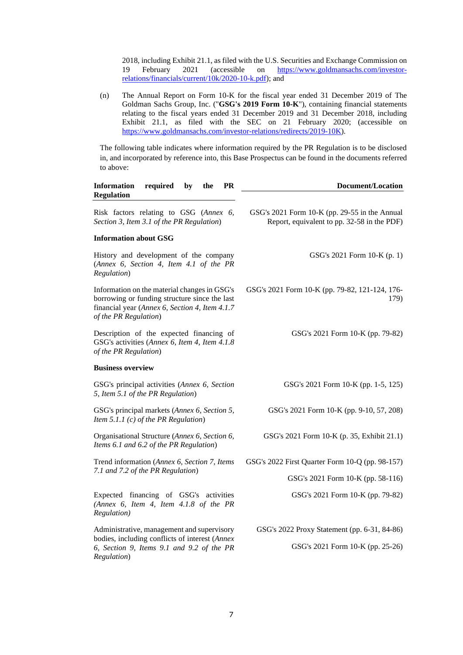2018, including Exhibit 21.1, as filed with the U.S. Securities and Exchange Commission on 19 February 2021 (accessible on [https://www.goldmansachs.com/investor](https://www.goldmansachs.com/investor-relations/financials/current/10k/2020-10-k.pdf)[relations/financials/current/10k/2020-10-k.pdf\)](https://www.goldmansachs.com/investor-relations/financials/current/10k/2020-10-k.pdf); and

(n) The Annual Report on Form 10-K for the fiscal year ended 31 December 2019 of The Goldman Sachs Group, Inc. ("**GSG's 2019 Form 10-K**"), containing financial statements relating to the fiscal years ended 31 December 2019 and 31 December 2018, including Exhibit 21.1, as filed with the SEC on 21 February 2020; (accessible on [https://www.goldmansachs.com/investor-relations/redirects/2019-10K\)](https://www.goldmansachs.com/investor-relations/redirects/2019-10K).

The following table indicates where information required by the PR Regulation is to be disclosed in, and incorporated by reference into, this Base Prospectus can be found in the documents referred to above:

| <b>Information</b><br>required<br><b>PR</b><br>by<br>the<br><b>Regulation</b>                                                                                            | <b>Document/Location</b>                                                                     |
|--------------------------------------------------------------------------------------------------------------------------------------------------------------------------|----------------------------------------------------------------------------------------------|
| Risk factors relating to GSG (Annex 6,<br>Section 3, Item 3.1 of the PR Regulation)                                                                                      | GSG's 2021 Form 10-K (pp. 29-55 in the Annual<br>Report, equivalent to pp. 32-58 in the PDF) |
| <b>Information about GSG</b>                                                                                                                                             |                                                                                              |
| History and development of the company<br>(Annex 6, Section 4, Item 4.1 of the PR<br>Regulation)                                                                         | GSG's 2021 Form 10-K (p. 1)                                                                  |
| Information on the material changes in GSG's<br>borrowing or funding structure since the last<br>financial year (Annex 6, Section 4, Item 4.1.7<br>of the PR Regulation) | GSG's 2021 Form 10-K (pp. 79-82, 121-124, 176-<br>179)                                       |
| Description of the expected financing of<br>GSG's activities (Annex 6, Item 4, Item 4.1.8)<br>of the PR Regulation)                                                      | GSG's 2021 Form 10-K (pp. 79-82)                                                             |
| <b>Business overview</b>                                                                                                                                                 |                                                                                              |
| GSG's principal activities (Annex 6, Section<br>5, Item 5.1 of the PR Regulation)                                                                                        | GSG's 2021 Form 10-K (pp. 1-5, 125)                                                          |
| GSG's principal markets (Annex 6, Section 5,<br>Item 5.1.1 $(c)$ of the PR Regulation)                                                                                   | GSG's 2021 Form 10-K (pp. 9-10, 57, 208)                                                     |
| Organisational Structure (Annex 6, Section 6,<br>Items 6.1 and 6.2 of the PR Regulation)                                                                                 | GSG's 2021 Form 10-K (p. 35, Exhibit 21.1)                                                   |
| Trend information (Annex 6, Section 7, Items                                                                                                                             | GSG's 2022 First Quarter Form 10-Q (pp. 98-157)                                              |
| 7.1 and 7.2 of the PR Regulation)                                                                                                                                        | GSG's 2021 Form 10-K (pp. 58-116)                                                            |
| Expected financing of GSG's activities<br>(Annex 6, Item 4, Item 4.1.8 of the PR<br>Regulation)                                                                          | GSG's 2021 Form 10-K (pp. 79-82)                                                             |
| Administrative, management and supervisory                                                                                                                               | GSG's 2022 Proxy Statement (pp. 6-31, 84-86)                                                 |
| bodies, including conflicts of interest (Annex<br>6, Section 9, Items 9.1 and 9.2 of the PR<br>Regulation)                                                               | GSG's 2021 Form 10-K (pp. 25-26)                                                             |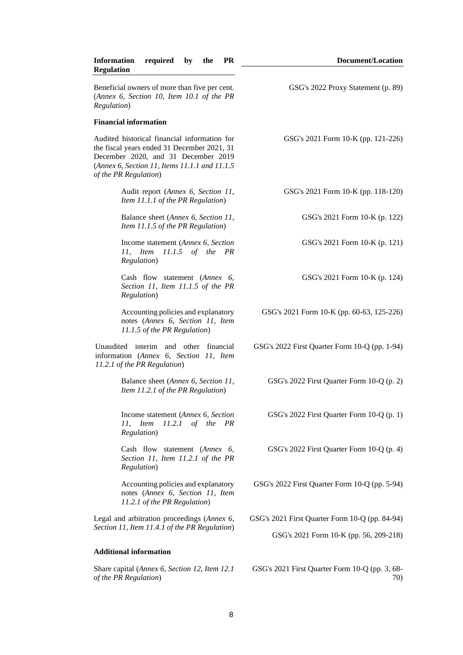| <b>Document/Location</b>                              |
|-------------------------------------------------------|
| GSG's 2022 Proxy Statement (p. 89)                    |
|                                                       |
| GSG's 2021 Form 10-K (pp. 121-226)                    |
| GSG's 2021 Form 10-K (pp. 118-120)                    |
| GSG's 2021 Form 10-K (p. 122)                         |
| GSG's 2021 Form 10-K (p. 121)                         |
| GSG's 2021 Form 10-K (p. 124)                         |
| GSG's 2021 Form 10-K (pp. 60-63, 125-226)             |
| GSG's 2022 First Quarter Form 10-Q (pp. 1-94)         |
| GSG's 2022 First Quarter Form 10-Q (p. 2)             |
| GSG's 2022 First Quarter Form 10-Q (p. 1)             |
| GSG's 2022 First Quarter Form 10-Q (p. 4)             |
| GSG's 2022 First Quarter Form 10-Q (pp. 5-94)         |
| GSG's 2021 First Quarter Form 10-Q (pp. 84-94)        |
| GSG's 2021 Form 10-K (pp. 56, 209-218)                |
|                                                       |
| GSG's 2021 First Quarter Form 10-Q (pp. 3, 68-<br>70) |
|                                                       |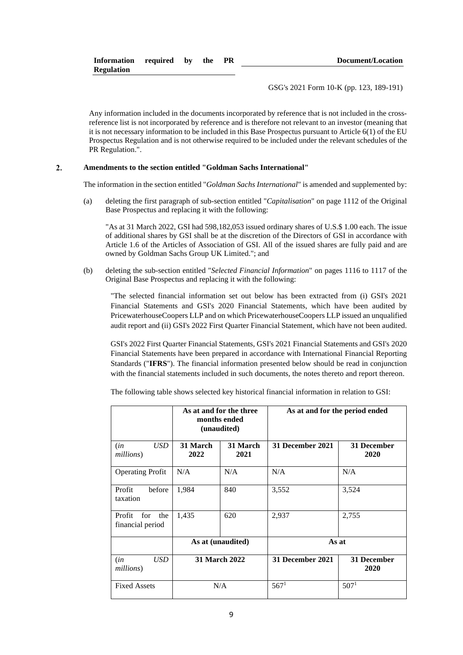| Information required by the |  | <b>PR</b> | Document/Location |
|-----------------------------|--|-----------|-------------------|
| <b>Regulation</b>           |  |           |                   |

GSG's 2021 Form 10-K (pp. 123, 189-191)

Any information included in the documents incorporated by reference that is not included in the crossreference list is not incorporated by reference and is therefore not relevant to an investor (meaning that it is not necessary information to be included in this Base Prospectus pursuant to Article 6(1) of the EU Prospectus Regulation and is not otherwise required to be included under the relevant schedules of the PR Regulation.".

#### $2.$ **Amendments to the section entitled "Goldman Sachs International"**

The information in the section entitled "*Goldman Sachs International*" is amended and supplemented by:

(a) deleting the first paragraph of sub-section entitled "*Capitalisation*" on page 1112 of the Original Base Prospectus and replacing it with the following:

"As at 31 March 2022, GSI had 598,182,053 issued ordinary shares of U.S.\$ 1.00 each. The issue of additional shares by GSI shall be at the discretion of the Directors of GSI in accordance with Article 1.6 of the Articles of Association of GSI. All of the issued shares are fully paid and are owned by Goldman Sachs Group UK Limited."; and

(b) deleting the sub-section entitled "*Selected Financial Information*" on pages 1116 to 1117 of the Original Base Prospectus and replacing it with the following:

"The selected financial information set out below has been extracted from (i) GSI's 2021 Financial Statements and GSI's 2020 Financial Statements, which have been audited by PricewaterhouseCoopers LLP and on which PricewaterhouseCoopers LLP issued an unqualified audit report and (ii) GSI's 2022 First Quarter Financial Statement, which have not been audited.

GSI's 2022 First Quarter Financial Statements, GSI's 2021 Financial Statements and GSI's 2020 Financial Statements have been prepared in accordance with International Financial Reporting Standards ("**IFRS**"). The financial information presented below should be read in conjunction with the financial statements included in such documents, the notes thereto and report thereon.

The following table shows selected key historical financial information in relation to GSI:

|                                          | As at and for the three<br>months ended<br>(unaudited) |                  | As at and for the period ended |                     |
|------------------------------------------|--------------------------------------------------------|------------------|--------------------------------|---------------------|
| <b>USD</b><br>(in<br>millions)           | 31 March<br>2022                                       | 31 March<br>2021 | 31 December 2021               | 31 December<br>2020 |
| <b>Operating Profit</b>                  | N/A                                                    | N/A              | N/A                            | N/A                 |
| Profit<br>before<br>taxation             | 1,984                                                  | 840              | 3,552                          | 3,524               |
| Profit<br>for<br>the<br>financial period | 1,435                                                  | 620              | 2,937                          | 2,755               |
|                                          | As at (unaudited)                                      |                  | As at                          |                     |
| USD<br>(in<br>millions)                  | 31 March 2022                                          |                  | 31 December 2021               | 31 December<br>2020 |
| <b>Fixed Assets</b>                      | N/A                                                    |                  | 567 <sup>1</sup>               | 507 <sup>1</sup>    |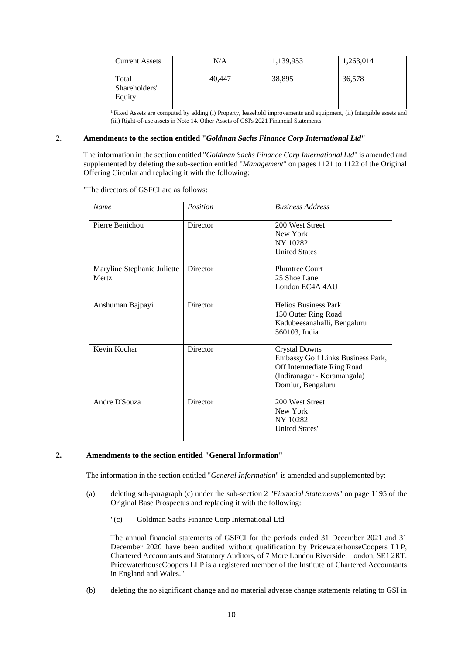| <b>Current Assets</b>            | N/A    | 1,139,953 | 1,263,014 |
|----------------------------------|--------|-----------|-----------|
| Total<br>Shareholders'<br>Equity | 40.447 | 38,895    | 36,578    |

<sup>1</sup>Fixed Assets are computed by adding (i) Property, leasehold improvements and equipment, (ii) Intangible assets and (iii) Right-of-use assets in Note 14. Other Assets of GSI's 2021 Financial Statements.

## 2. **Amendments to the section entitled "***Goldman Sachs Finance Corp International Ltd***"**

The information in the section entitled "*Goldman Sachs Finance Corp International Ltd*" is amended and supplemented by deleting the sub-section entitled "*Management*" on pages 1121 to 1122 of the Original Offering Circular and replacing it with the following:

"The directors of GSFCI are as follows:

| Name                                  | Position | <b>Business Address</b>                                                                                                                     |
|---------------------------------------|----------|---------------------------------------------------------------------------------------------------------------------------------------------|
| Pierre Benichou                       | Director | 200 West Street<br>New York<br>NY 10282<br><b>United States</b>                                                                             |
| Maryline Stephanie Juliette<br>Mertz. | Director | <b>Plumtree Court</b><br>25 Shoe Lane<br>London EC4A 4AU                                                                                    |
| Anshuman Bajpayi                      | Director | <b>Helios Business Park</b><br>150 Outer Ring Road<br>Kadubeesanahalli, Bengaluru<br>560103, India                                          |
| Kevin Kochar                          | Director | <b>Crystal Downs</b><br>Embassy Golf Links Business Park,<br>Off Intermediate Ring Road<br>(Indiranagar - Koramangala)<br>Domlur, Bengaluru |
| Andre D'Souza                         | Director | 200 West Street<br>New York<br>NY 10282<br><b>United States"</b>                                                                            |

# **2. Amendments to the section entitled "General Information"**

The information in the section entitled "*General Information*" is amended and supplemented by:

- (a) deleting sub-paragraph (c) under the sub-section 2 "*Financial Statements*" on page 1195 of the Original Base Prospectus and replacing it with the following:
	- "(c) Goldman Sachs Finance Corp International Ltd

The annual financial statements of GSFCI for the periods ended 31 December 2021 and 31 December 2020 have been audited without qualification by PricewaterhouseCoopers LLP, Chartered Accountants and Statutory Auditors, of 7 More London Riverside, London, SE1 2RT. PricewaterhouseCoopers LLP is a registered member of the Institute of Chartered Accountants in England and Wales."

(b) deleting the no significant change and no material adverse change statements relating to GSI in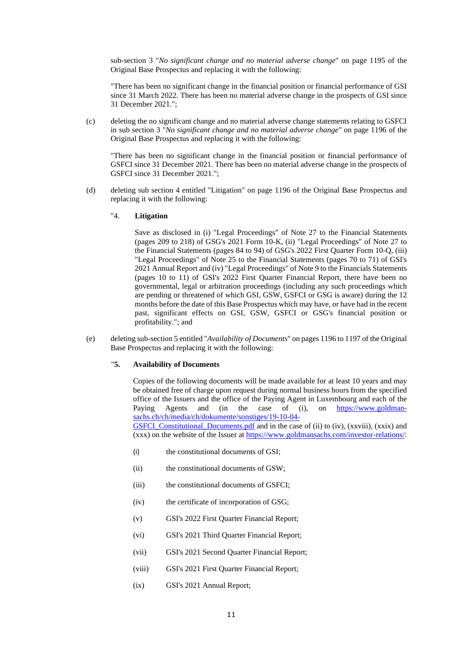sub-section 3 "*No significant change and no material adverse change*" on page 1195 of the Original Base Prospectus and replacing it with the following:

"There has been no significant change in the financial position or financial performance of GSI since 31 March 2022. There has been no material adverse change in the prospects of GSI since 31 December 2021.";

(c) deleting the no significant change and no material adverse change statements relating to GSFCI in sub section 3 "*No significant change and no material adverse change*" on page 1196 of the Original Base Prospectus and replacing it with the following:

"There has been no significant change in the financial position or financial performance of GSFCI since 31 December 2021. There has been no material adverse change in the prospects of GSFCI since 31 December 2021.";

- (d) deleting sub section 4 entitled "Litigation" on page 1196 of the Original Base Prospectus and replacing it with the following:
	- "4. **Litigation**

Save as disclosed in (i) "Legal Proceedings" of Note 27 to the Financial Statements (pages 209 to 218) of GSG's 2021 Form 10-K, (ii) "Legal Proceedings" of Note 27 to the Financial Statements (pages 84 to 94) of GSG's 2022 First Quarter Form 10-Q, (iii) "Legal Proceedings" of Note 25 to the Financial Statements (pages 70 to 71) of GSI's 2021 Annual Report and (iv) "Legal Proceedings" of Note 9 to the Financials Statements (pages 10 to 11) of GSI's 2022 First Quarter Financial Report, there have been no governmental, legal or arbitration proceedings (including any such proceedings which are pending or threatened of which GSI, GSW, GSFCI or GSG is aware) during the 12 months before the date of this Base Prospectus which may have, or have had in the recent past, significant effects on GSI, GSW, GSFCI or GSG's financial position or profitability."; and

(e) deleting sub-section 5 entitled "*Availability of Documents*" on pages 1196 to 1197 of the Original Base Prospectus and replacing it with the following:

# "**5. Availability of Documents**

Copies of the following documents will be made available for at least 10 years and may be obtained free of charge upon request during normal business hours from the specified office of the Issuers and the office of the Paying Agent in Luxembourg and each of the Paying Agents and (in the case of (i), on [https://www.goldman](https://www.goldman-sachs.ch/ch/media/ch/dokumente/sonstiges/19-10-04-GSFCI_Constitutional_Documents.pdf)[sachs.ch/ch/media/ch/dokumente/sonstiges/19-10-04-](https://www.goldman-sachs.ch/ch/media/ch/dokumente/sonstiges/19-10-04-GSFCI_Constitutional_Documents.pdf) GSFCI Constitutional Documents.pdf and in the case of (ii) to (iv),  $(xxviii)$ ,  $(xxix)$  and (xxx) on the website of the Issuer a[t https://www.goldmansachs.com/investor-relations/:](https://www.goldmansachs.com/investor-relations/)

- (i) the constitutional documents of GSI;
- (ii) the constitutional documents of GSW;
- (iii) the constitutional documents of GSFCI;
- (iv) the certificate of incorporation of GSG;
- (v) GSI's 2022 First Quarter Financial Report;
- (vi) GSI's 2021 Third Quarter Financial Report;
- (vii) GSI's 2021 Second Quarter Financial Report;
- (viii) GSI's 2021 First Quarter Financial Report;
- (ix) GSI's 2021 Annual Report;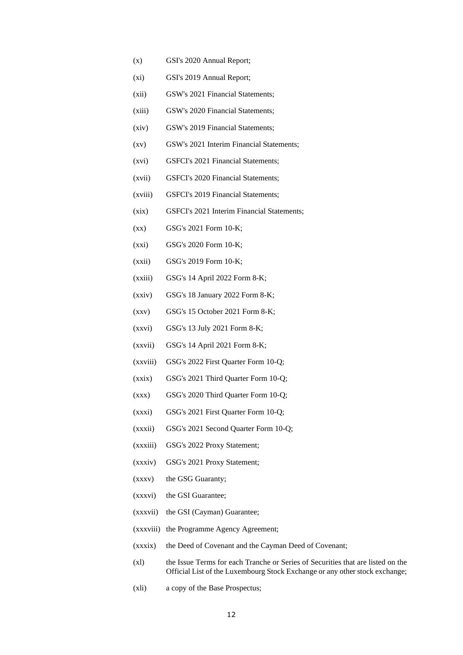- (x) GSI's 2020 Annual Report;
- (xi) GSI's 2019 Annual Report;
- (xii) GSW's 2021 Financial Statements;
- (xiii) GSW's 2020 Financial Statements;
- (xiv) GSW's 2019 Financial Statements;
- (xv) GSW's 2021 Interim Financial Statements;
- (xvi) GSFCI's 2021 Financial Statements;
- (xvii) GSFCI's 2020 Financial Statements;
- (xviii) GSFCI's 2019 Financial Statements;
- (xix) GSFCI's 2021 Interim Financial Statements;
- (xx) GSG's 2021 Form 10-K;
- (xxi) GSG's 2020 Form 10-K;
- (xxii) GSG's 2019 Form 10-K;
- (xxiii) GSG's 14 April 2022 Form 8-K;
- (xxiv) GSG's 18 January 2022 Form 8-K;
- (xxv) GSG's 15 October 2021 Form 8-K;
- (xxvi) GSG's 13 July 2021 Form 8-K;
- (xxvii) GSG's 14 April 2021 Form 8-K;
- (xxviii) GSG's 2022 First Quarter Form 10-Q;
- (xxix) GSG's 2021 Third Quarter Form 10-Q;
- (xxx) GSG's 2020 Third Quarter Form 10-Q;
- (xxxi) GSG's 2021 First Quarter Form 10-Q;
- (xxxii) GSG's 2021 Second Quarter Form 10-Q;
- (xxxiii) GSG's 2022 Proxy Statement;
- (xxxiv) GSG's 2021 Proxy Statement;
- (xxxv) the GSG Guaranty;
- (xxxvi) the GSI Guarantee;
- (xxxvii) the GSI (Cayman) Guarantee;
- (xxxviii) the Programme Agency Agreement;
- (xxxix) the Deed of Covenant and the Cayman Deed of Covenant;
- (xl) the Issue Terms for each Tranche or Series of Securities that are listed on the Official List of the Luxembourg Stock Exchange or any other stock exchange;
- (xli) a copy of the Base Prospectus;